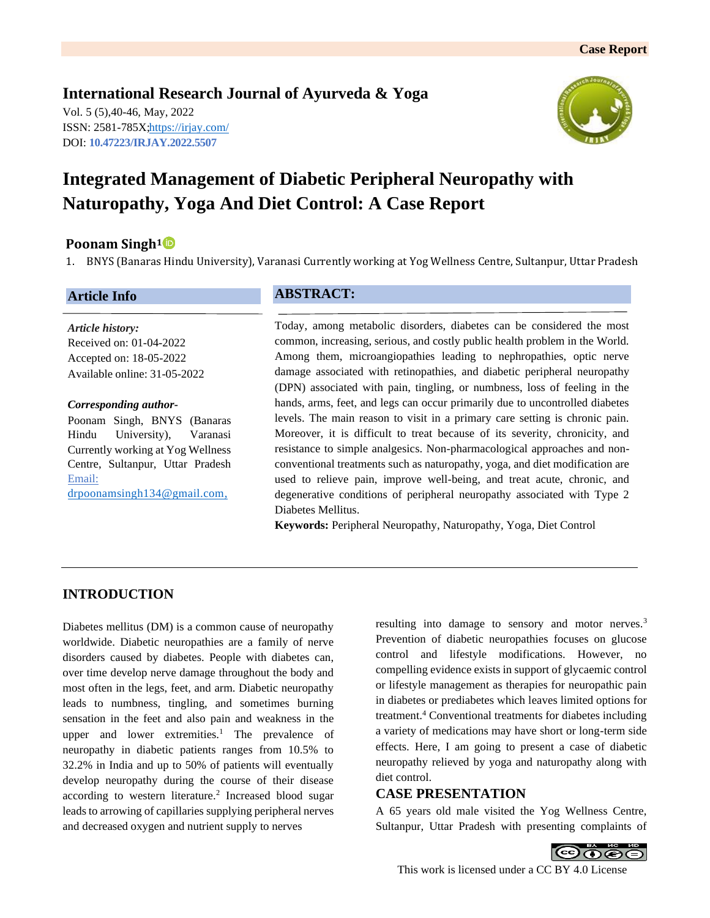**International Research Journal of Ayurveda & Yoga** Vol. 5 (5),40-46, May, 2022 ISSN: 2581-785X[; https://irjay.com/](https://irjay.com/) DOI: **10.47223/IRJAY.2022.5507**

**Naturopathy, Yoga And Diet Control: A Case Report**



### **Poonam Singh<sup>1</sup>**

1. BNYS (Banaras Hindu University), Varanasi Currently working at Yog Wellness Centre, Sultanpur, Uttar Pradesh

### **Article Info**

**ABSTRACT:**

*Article history:* Received on: 01-04-2022 Accepted on: 18-05-2022 Available online: 31-05-2022

#### *Corresponding author-*

Poonam Singh, BNYS (Banaras Hindu University), Varanasi Currently working at Yog Wellness Centre, Sultanpur, Uttar Pradesh Email: [drpoonamsingh134@gmail.com,](mailto:drpoonamsingh134@gmail.com)

Today, among metabolic disorders, diabetes can be considered the most common, increasing, serious, and costly public health problem in the World. Among them, microangiopathies leading to nephropathies, optic nerve damage associated with retinopathies, and diabetic peripheral neuropathy (DPN) associated with pain, tingling, or numbness, loss of feeling in the hands, arms, feet, and legs can occur primarily due to uncontrolled diabetes levels. The main reason to visit in a primary care setting is chronic pain. Moreover, it is difficult to treat because of its severity, chronicity, and resistance to simple analgesics. Non-pharmacological approaches and nonconventional treatments such as naturopathy, yoga, and diet modification are used to relieve pain, improve well-being, and treat acute, chronic, and degenerative conditions of peripheral neuropathy associated with Type 2 Diabetes Mellitus.

**Keywords:** Peripheral Neuropathy, Naturopathy, Yoga, Diet Control

## **INTRODUCTION**

Diabetes mellitus (DM) is a common cause of neuropathy worldwide. Diabetic neuropathies are a family of nerve disorders caused by diabetes. People with diabetes can, over time develop nerve damage throughout the body and most often in the legs, feet, and arm. Diabetic neuropathy leads to numbness, tingling, and sometimes burning sensation in the feet and also pain and weakness in the upper and lower extremities.<sup>1</sup> The prevalence of neuropathy in diabetic patients ranges from 10.5% to 32.2% in India and up to 50% of patients will eventually develop neuropathy during the course of their disease according to western literature.<sup>2</sup> Increased blood sugar leads to arrowing of capillaries supplying peripheral nerves and decreased oxygen and nutrient supply to nerves

resulting into damage to sensory and motor nerves.<sup>3</sup> Prevention of diabetic neuropathies focuses on glucose control and lifestyle modifications. However, no compelling evidence exists in support of glycaemic control or lifestyle management as therapies for neuropathic pain in diabetes or prediabetes which leaves limited options for treatment.<sup>4</sup> Conventional treatments for diabetes including a variety of medications may have short or long-term side effects. Here, I am going to present a case of diabetic neuropathy relieved by yoga and naturopathy along with diet control.

### **CASE PRESENTATION**

A 65 years old male visited the Yog Wellness Centre, Sultanpur, Uttar Pradesh with presenting complaints of



This work is licensed under a CC BY 4.0 License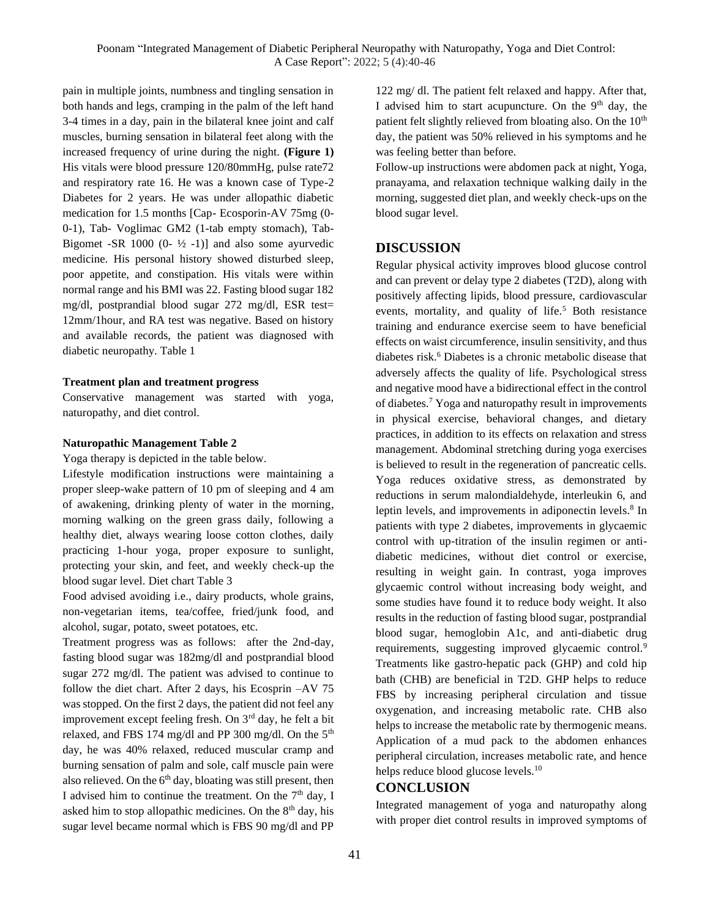pain in multiple joints, numbness and tingling sensation in both hands and legs, cramping in the palm of the left hand 3-4 times in a day, pain in the bilateral knee joint and calf muscles, burning sensation in bilateral feet along with the increased frequency of urine during the night. **(Figure 1)** His vitals were blood pressure 120/80mmHg, pulse rate72 and respiratory rate 16. He was a known case of Type-2 Diabetes for 2 years. He was under allopathic diabetic medication for 1.5 months [Cap- Ecosporin-AV 75mg (0- 0-1), Tab- Voglimac GM2 (1-tab empty stomach), Tab-Bigomet -SR 1000  $(0 - \frac{1}{2} - 1)$  and also some ayurvedic medicine. His personal history showed disturbed sleep, poor appetite, and constipation. His vitals were within normal range and his BMI was 22. Fasting blood sugar 182 mg/dl, postprandial blood sugar 272 mg/dl, ESR test= 12mm/1hour, and RA test was negative. Based on history and available records, the patient was diagnosed with diabetic neuropathy. Table 1

#### **Treatment plan and treatment progress**

Conservative management was started with yoga, naturopathy, and diet control.

### **Naturopathic Management Table 2**

Yoga therapy is depicted in the table below.

Lifestyle modification instructions were maintaining a proper sleep-wake pattern of 10 pm of sleeping and 4 am of awakening, drinking plenty of water in the morning, morning walking on the green grass daily, following a healthy diet, always wearing loose cotton clothes, daily practicing 1-hour yoga, proper exposure to sunlight, protecting your skin, and feet, and weekly check-up the blood sugar level. Diet chart Table 3

Food advised avoiding i.e., dairy products, whole grains, non-vegetarian items, tea/coffee, fried/junk food, and alcohol, sugar, potato, sweet potatoes, etc.

Treatment progress was as follows: after the 2nd-day, fasting blood sugar was 182mg/dl and postprandial blood sugar 272 mg/dl. The patient was advised to continue to follow the diet chart. After 2 days, his Ecosprin –AV 75 was stopped. On the first 2 days, the patient did not feel any improvement except feeling fresh. On 3rd day, he felt a bit relaxed, and FBS 174 mg/dl and PP 300 mg/dl. On the 5<sup>th</sup> day, he was 40% relaxed, reduced muscular cramp and burning sensation of palm and sole, calf muscle pain were also relieved. On the  $6<sup>th</sup>$  day, bloating was still present, then I advised him to continue the treatment. On the  $7<sup>th</sup>$  day, I asked him to stop allopathic medicines. On the  $8<sup>th</sup>$  day, his sugar level became normal which is FBS 90 mg/dl and PP

122 mg/ dl. The patient felt relaxed and happy. After that, I advised him to start acupuncture. On the  $9<sup>th</sup>$  day, the patient felt slightly relieved from bloating also. On the 10<sup>th</sup> day, the patient was 50% relieved in his symptoms and he was feeling better than before.

Follow-up instructions were abdomen pack at night, Yoga, pranayama, and relaxation technique walking daily in the morning, suggested diet plan, and weekly check-ups on the blood sugar level.

### **DISCUSSION**

Regular physical activity improves blood glucose control and can prevent or delay type 2 diabetes (T2D), along with positively affecting lipids, blood pressure, cardiovascular events, mortality, and quality of life.<sup>5</sup> Both resistance training and endurance exercise seem to have beneficial effects on waist circumference, insulin sensitivity, and thus diabetes risk.<sup>6</sup> Diabetes is a chronic metabolic disease that adversely affects the quality of life. Psychological stress and negative mood have a bidirectional effect in the control of diabetes.<sup>7</sup> Yoga and naturopathy result in improvements in physical exercise, behavioral changes, and dietary practices, in addition to its effects on relaxation and stress management. Abdominal stretching during yoga exercises is believed to result in the regeneration of pancreatic cells. Yoga reduces oxidative stress, as demonstrated by reductions in serum malondialdehyde, interleukin 6, and leptin levels, and improvements in adiponectin levels.<sup>8</sup> In patients with type 2 diabetes, improvements in glycaemic control with up-titration of the insulin regimen or antidiabetic medicines, without diet control or exercise, resulting in weight gain. In contrast, yoga improves glycaemic control without increasing body weight, and some studies have found it to reduce body weight. It also results in the reduction of fasting blood sugar, postprandial blood sugar, hemoglobin A1c, and anti-diabetic drug requirements, suggesting improved glycaemic control.<sup>9</sup> Treatments like gastro-hepatic pack (GHP) and cold hip bath (CHB) are beneficial in T2D. GHP helps to reduce FBS by increasing peripheral circulation and tissue oxygenation, and increasing metabolic rate. CHB also helps to increase the metabolic rate by thermogenic means. Application of a mud pack to the abdomen enhances peripheral circulation, increases metabolic rate, and hence helps reduce blood glucose levels.<sup>10</sup>

## **CONCLUSION**

Integrated management of yoga and naturopathy along with proper diet control results in improved symptoms of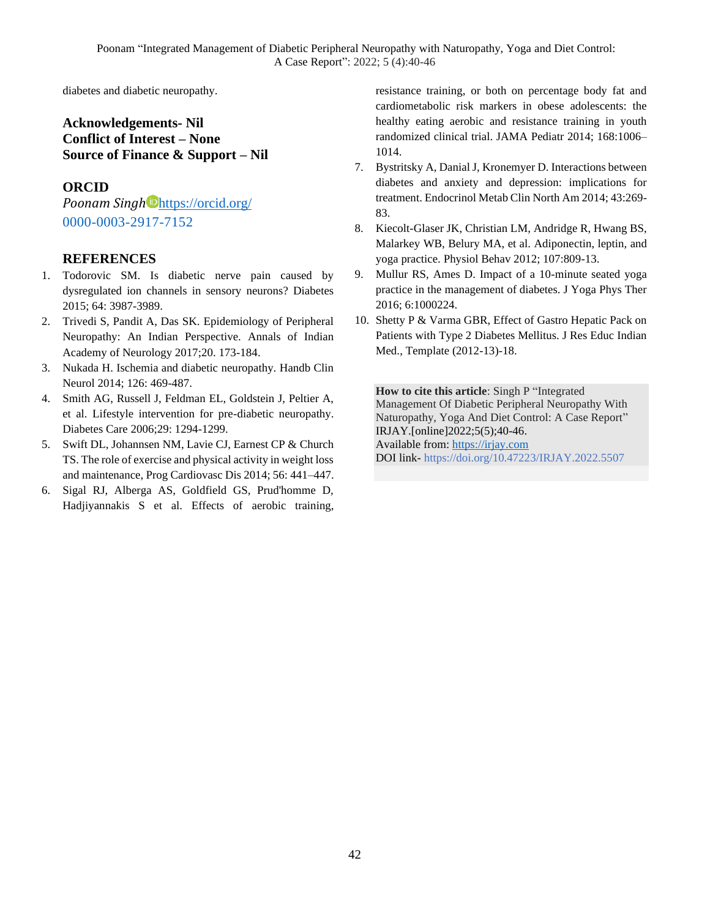diabetes and diabetic neuropathy.

# **Acknowledgements- Nil Conflict of Interest – None Source of Finance & Support – Nil**

### **ORCID**

*Poonam Singh* <https://orcid.org/> 0000-0003-2917-7152

### **REFERENCES**

- 1. Todorovic SM. Is diabetic nerve pain caused by dysregulated ion channels in sensory neurons? Diabetes 2015; 64: 3987-3989.
- 2. Trivedi S, Pandit A, Das SK. Epidemiology of Peripheral Neuropathy: An Indian Perspective. Annals of Indian Academy of Neurology 2017;20. 173-184.
- 3. Nukada H. Ischemia and diabetic neuropathy. Handb Clin Neurol 2014; 126: 469-487.
- 4. Smith AG, Russell J, Feldman EL, Goldstein J, Peltier A, et al. Lifestyle intervention for pre-diabetic neuropathy. Diabetes Care 2006;29: 1294-1299.
- 5. Swift DL, Johannsen NM, Lavie CJ, Earnest CP & Church TS. The role of exercise and physical activity in weight loss and maintenance, Prog Cardiovasc Dis 2014; 56: 441–447.
- 6. Sigal RJ, Alberga AS, Goldfield GS, Prud'homme D, Hadjiyannakis S et al. Effects of aerobic training,

resistance training, or both on percentage body fat and cardiometabolic risk markers in obese adolescents: the healthy eating aerobic and resistance training in youth randomized clinical trial. JAMA Pediatr 2014; 168:1006– 1014.

- 7. Bystritsky A, Danial J, Kronemyer D. Interactions between diabetes and anxiety and depression: implications for treatment. Endocrinol Metab Clin North Am 2014; 43:269- 83.
- 8. Kiecolt-Glaser JK, Christian LM, Andridge R, Hwang BS, Malarkey WB, Belury MA, et al. Adiponectin, leptin, and yoga practice. Physiol Behav 2012; 107:809-13.
- 9. Mullur RS, Ames D. Impact of a 10-minute seated yoga practice in the management of diabetes. J Yoga Phys Ther 2016; 6:1000224.
- 10. Shetty P & Varma GBR, Effect of Gastro Hepatic Pack on Patients with Type 2 Diabetes Mellitus. J Res Educ Indian Med., Template (2012-13)-18.

**How to cite this article**: Singh P "Integrated Management Of Diabetic Peripheral Neuropathy With Naturopathy, Yoga And Diet Control: A Case Report" IRJAY.[online]2022;5(5);40-46. Available from: [https://irjay.com](https://irjay.com/) DOI link- https://doi.org/10.47223/IRJAY.2022.5507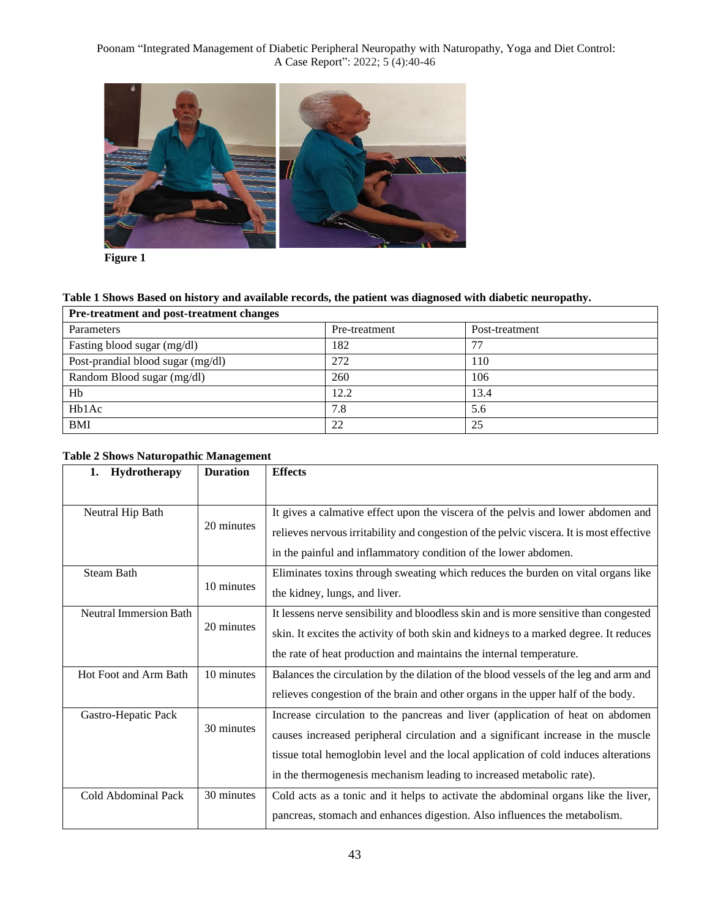

**Figure 1**

## **Table 1 Shows Based on history and available records, the patient was diagnosed with diabetic neuropathy.**

| Pre-treatment and post-treatment changes |               |                |  |
|------------------------------------------|---------------|----------------|--|
| Parameters                               | Pre-treatment | Post-treatment |  |
| Fasting blood sugar (mg/dl)              | 182           | 77             |  |
| Post-prandial blood sugar (mg/dl)        | 272           | 110            |  |
| Random Blood sugar (mg/dl)               | 260           | 106            |  |
| Hb                                       | 12.2          | 13.4           |  |
| Hb1Ac                                    | 7.8           | 5.6            |  |
| <b>BMI</b>                               | 22            | 25             |  |

|  | <b>Table 2 Shows Naturopathic Management</b> |  |
|--|----------------------------------------------|--|
|--|----------------------------------------------|--|

| <b>Hydrotherapy</b><br>1.     | <b>Duration</b> | <b>Effects</b>                                                                           |
|-------------------------------|-----------------|------------------------------------------------------------------------------------------|
|                               |                 |                                                                                          |
| Neutral Hip Bath              |                 | It gives a calmative effect upon the viscera of the pelvis and lower abdomen and         |
|                               | 20 minutes      | relieves nervous irritability and congestion of the pelvic viscera. It is most effective |
|                               |                 | in the painful and inflammatory condition of the lower abdomen.                          |
| <b>Steam Bath</b>             |                 | Eliminates toxins through sweating which reduces the burden on vital organs like         |
|                               | 10 minutes      | the kidney, lungs, and liver.                                                            |
| <b>Neutral Immersion Bath</b> |                 | It lessens nerve sensibility and bloodless skin and is more sensitive than congested     |
|                               | 20 minutes      | skin. It excites the activity of both skin and kidneys to a marked degree. It reduces    |
|                               |                 | the rate of heat production and maintains the internal temperature.                      |
| Hot Foot and Arm Bath         | 10 minutes      | Balances the circulation by the dilation of the blood vessels of the leg and arm and     |
|                               |                 | relieves congestion of the brain and other organs in the upper half of the body.         |
| Gastro-Hepatic Pack           |                 | Increase circulation to the pancreas and liver (application of heat on abdomen           |
|                               | 30 minutes      | causes increased peripheral circulation and a significant increase in the muscle         |
|                               |                 | tissue total hemoglobin level and the local application of cold induces alterations      |
|                               |                 | in the thermogenesis mechanism leading to increased metabolic rate).                     |
| Cold Abdominal Pack           | 30 minutes      | Cold acts as a tonic and it helps to activate the abdominal organs like the liver,       |
|                               |                 | pancreas, stomach and enhances digestion. Also influences the metabolism.                |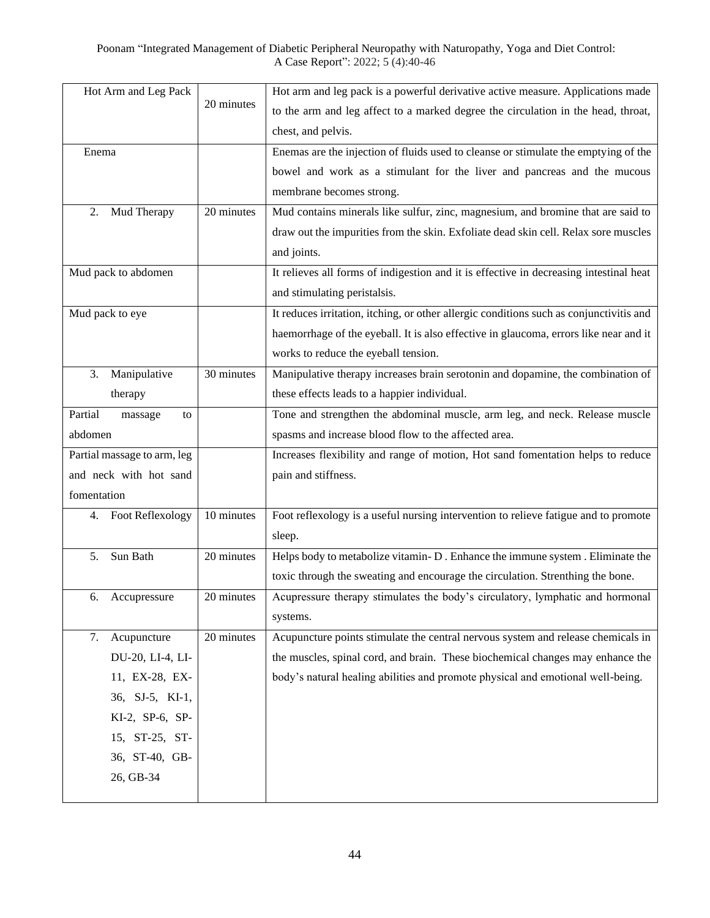|             | Hot Arm and Leg Pack        |            | Hot arm and leg pack is a powerful derivative active measure. Applications made         |
|-------------|-----------------------------|------------|-----------------------------------------------------------------------------------------|
|             |                             | 20 minutes | to the arm and leg affect to a marked degree the circulation in the head, throat,       |
|             |                             |            | chest, and pelvis.                                                                      |
| Enema       |                             |            | Enemas are the injection of fluids used to cleanse or stimulate the emptying of the     |
|             |                             |            | bowel and work as a stimulant for the liver and pancreas and the mucous                 |
|             |                             |            | membrane becomes strong.                                                                |
| 2.          | Mud Therapy                 | 20 minutes | Mud contains minerals like sulfur, zinc, magnesium, and bromine that are said to        |
|             |                             |            | draw out the impurities from the skin. Exfoliate dead skin cell. Relax sore muscles     |
|             |                             |            | and joints.                                                                             |
|             | Mud pack to abdomen         |            | It relieves all forms of indigestion and it is effective in decreasing intestinal heat  |
|             |                             |            | and stimulating peristalsis.                                                            |
|             | Mud pack to eye             |            | It reduces irritation, itching, or other allergic conditions such as conjunctivitis and |
|             |                             |            | haemorrhage of the eyeball. It is also effective in glaucoma, errors like near and it   |
|             |                             |            | works to reduce the eyeball tension.                                                    |
| 3.          | Manipulative                | 30 minutes | Manipulative therapy increases brain serotonin and dopamine, the combination of         |
|             | therapy                     |            | these effects leads to a happier individual.                                            |
| Partial     | massage<br>to               |            | Tone and strengthen the abdominal muscle, arm leg, and neck. Release muscle             |
| abdomen     |                             |            | spasms and increase blood flow to the affected area.                                    |
|             | Partial massage to arm, leg |            | Increases flexibility and range of motion, Hot sand fomentation helps to reduce         |
|             | and neck with hot sand      |            | pain and stiffness.                                                                     |
| fomentation |                             |            |                                                                                         |
| 4.          | <b>Foot Reflexology</b>     | 10 minutes | Foot reflexology is a useful nursing intervention to relieve fatigue and to promote     |
|             |                             |            | sleep.                                                                                  |
| 5.          | Sun Bath                    | 20 minutes | Helps body to metabolize vitamin-D. Enhance the immune system. Eliminate the            |
|             |                             |            | toxic through the sweating and encourage the circulation. Strenthing the bone.          |
| 6.          | Accupressure                | 20 minutes | Acupressure therapy stimulates the body's circulatory, lymphatic and hormonal           |
|             |                             |            | systems.                                                                                |
| 7.          | Acupuncture                 | 20 minutes | Acupuncture points stimulate the central nervous system and release chemicals in        |
|             | DU-20, LI-4, LI-            |            | the muscles, spinal cord, and brain. These biochemical changes may enhance the          |
|             | 11, EX-28, EX-              |            | body's natural healing abilities and promote physical and emotional well-being.         |
|             | 36, SJ-5, KI-1,             |            |                                                                                         |
|             | KI-2, SP-6, SP-             |            |                                                                                         |
|             | 15, ST-25, ST-              |            |                                                                                         |
|             | 36, ST-40, GB-              |            |                                                                                         |
|             | 26, GB-34                   |            |                                                                                         |
|             |                             |            |                                                                                         |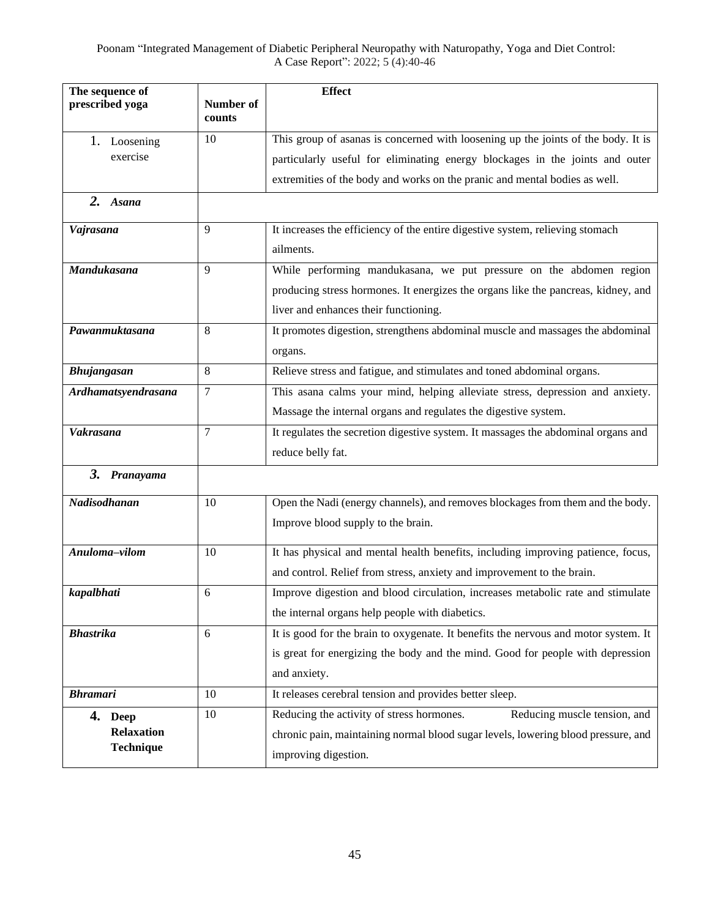| The sequence of          |                     | <b>Effect</b>                                                                       |
|--------------------------|---------------------|-------------------------------------------------------------------------------------|
| prescribed yoga          | Number of<br>counts |                                                                                     |
|                          |                     | This group of asanas is concerned with loosening up the joints of the body. It is   |
| 1. Loosening<br>exercise | 10                  |                                                                                     |
|                          |                     | particularly useful for eliminating energy blockages in the joints and outer        |
|                          |                     | extremities of the body and works on the pranic and mental bodies as well.          |
| 2. Asana                 |                     |                                                                                     |
| Vajrasana                | 9                   | It increases the efficiency of the entire digestive system, relieving stomach       |
|                          |                     | ailments.                                                                           |
| Mandukasana              | 9                   | While performing mandukasana, we put pressure on the abdomen region                 |
|                          |                     | producing stress hormones. It energizes the organs like the pancreas, kidney, and   |
|                          |                     | liver and enhances their functioning.                                               |
| Pawanmuktasana           | 8                   | It promotes digestion, strengthens abdominal muscle and massages the abdominal      |
|                          |                     | organs.                                                                             |
| Bhujangasan              | 8                   | Relieve stress and fatigue, and stimulates and toned abdominal organs.              |
| Ardhamatsyendrasana      | 7                   | This asana calms your mind, helping alleviate stress, depression and anxiety.       |
|                          |                     | Massage the internal organs and regulates the digestive system.                     |
| <b>Vakrasana</b>         | 7                   | It regulates the secretion digestive system. It massages the abdominal organs and   |
|                          |                     | reduce belly fat.                                                                   |
| 3. Pranayama             |                     |                                                                                     |
| Nadisodhanan             | 10                  | Open the Nadi (energy channels), and removes blockages from them and the body.      |
|                          |                     | Improve blood supply to the brain.                                                  |
| Anuloma-vilom            |                     | It has physical and mental health benefits, including improving patience, focus,    |
|                          | 10                  |                                                                                     |
|                          |                     | and control. Relief from stress, anxiety and improvement to the brain.              |
| kapalbhati               | 6                   | Improve digestion and blood circulation, increases metabolic rate and stimulate     |
|                          |                     | the internal organs help people with diabetics.                                     |
| <b>Bhastrika</b>         | 6                   | It is good for the brain to oxygenate. It benefits the nervous and motor system. It |
|                          |                     | is great for energizing the body and the mind. Good for people with depression      |
|                          |                     | and anxiety.                                                                        |
| <b>Bhramari</b>          | 10                  | It releases cerebral tension and provides better sleep.                             |
| 4. Deep                  | 10                  | Reducing the activity of stress hormones.<br>Reducing muscle tension, and           |
| <b>Relaxation</b>        |                     | chronic pain, maintaining normal blood sugar levels, lowering blood pressure, and   |
| <b>Technique</b>         |                     | improving digestion.                                                                |